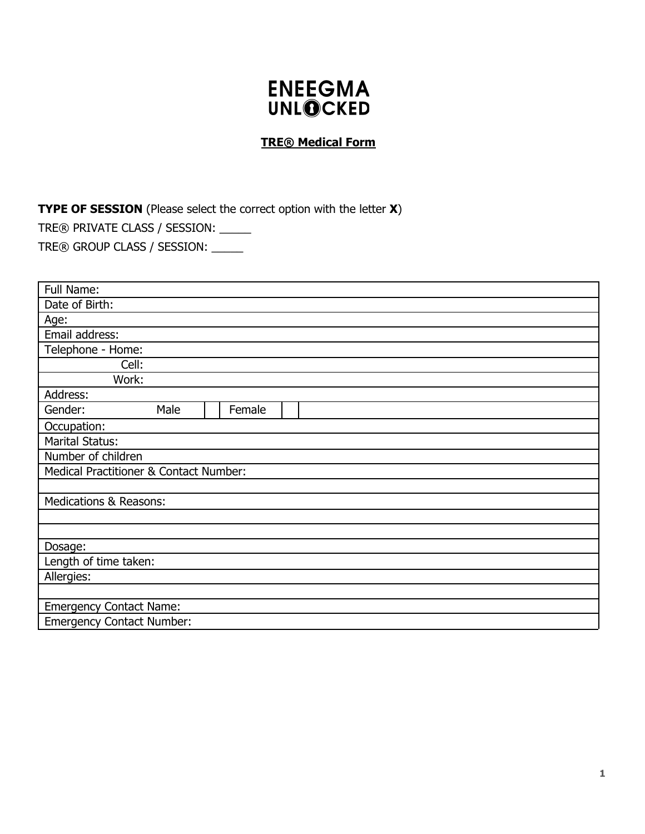# **ENEEGMA UNLOCKED**

## **TRE® Medical Form**

**TYPE OF SESSION** (Please select the correct option with the letter **X**)

TRE® PRIVATE CLASS / SESSION: \_\_\_\_\_

TRE® GROUP CLASS / SESSION: \_\_\_\_\_

| Full Name:                             |  |        |  |  |  |
|----------------------------------------|--|--------|--|--|--|
| Date of Birth:                         |  |        |  |  |  |
| Age:                                   |  |        |  |  |  |
| Email address:                         |  |        |  |  |  |
| Telephone - Home:                      |  |        |  |  |  |
| Cell:                                  |  |        |  |  |  |
| Work:                                  |  |        |  |  |  |
| Address:                               |  |        |  |  |  |
| Gender:<br>Male                        |  | Female |  |  |  |
| Occupation:                            |  |        |  |  |  |
| <b>Marital Status:</b>                 |  |        |  |  |  |
| Number of children                     |  |        |  |  |  |
| Medical Practitioner & Contact Number: |  |        |  |  |  |
|                                        |  |        |  |  |  |
| <b>Medications &amp; Reasons:</b>      |  |        |  |  |  |
|                                        |  |        |  |  |  |
|                                        |  |        |  |  |  |
| Dosage:                                |  |        |  |  |  |
| Length of time taken:                  |  |        |  |  |  |
| Allergies:                             |  |        |  |  |  |
|                                        |  |        |  |  |  |
| <b>Emergency Contact Name:</b>         |  |        |  |  |  |
| <b>Emergency Contact Number:</b>       |  |        |  |  |  |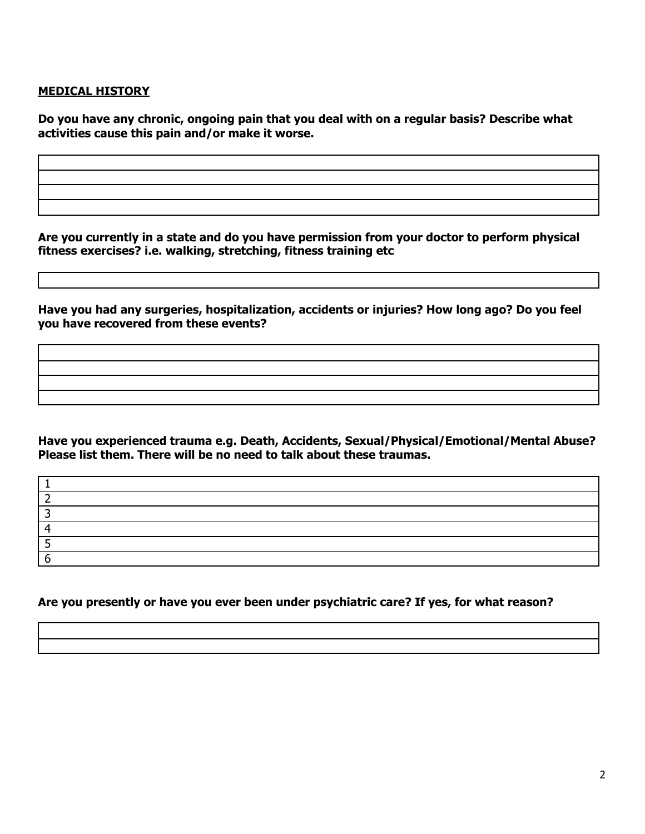## **MEDICAL HISTORY**

**Do you have any chronic, ongoing pain that you deal with on a regular basis? Describe what activities cause this pain and/or make it worse.**

**Are you currently in a state and do you have permission from your doctor to perform physical fitness exercises? i.e. walking, stretching, fitness training etc**

**Have you had any surgeries, hospitalization, accidents or injuries? How long ago? Do you feel you have recovered from these events?**

**Have you experienced trauma e.g. Death, Accidents, Sexual/Physical/Emotional/Mental Abuse? Please list them. There will be no need to talk about these traumas.**

**Are you presently or have you ever been under psychiatric care? If yes, for what reason?**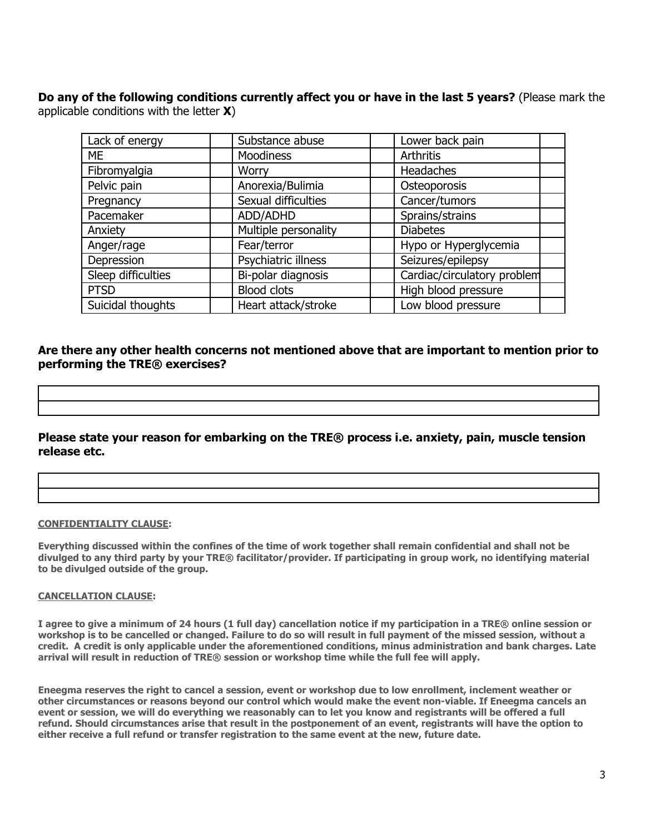**Do any of the following conditions currently affect you or have in the last 5 years?** (Please mark the applicable conditions with the letter **X**)

| Lack of energy     | Substance abuse      | Lower back pain             |
|--------------------|----------------------|-----------------------------|
| <b>ME</b>          | <b>Moodiness</b>     | Arthritis                   |
| Fibromyalgia       | <b>Worry</b>         | Headaches                   |
| Pelvic pain        | Anorexia/Bulimia     | Osteoporosis                |
| Pregnancy          | Sexual difficulties  | Cancer/tumors               |
| Pacemaker          | ADD/ADHD             | Sprains/strains             |
| Anxiety            | Multiple personality | <b>Diabetes</b>             |
| Anger/rage         | Fear/terror          | Hypo or Hyperglycemia       |
| Depression         | Psychiatric illness  | Seizures/epilepsy           |
| Sleep difficulties | Bi-polar diagnosis   | Cardiac/circulatory problem |
| <b>PTSD</b>        | <b>Blood clots</b>   | High blood pressure         |
| Suicidal thoughts  | Heart attack/stroke  | Low blood pressure          |

## **Are there any other health concerns not mentioned above that are important to mention prior to performing the TRE® exercises?**

## **Please state your reason for embarking on the TRE® process i.e. anxiety, pain, muscle tension release etc.**

### **CONFIDENTIALITY CLAUSE:**

**Everything discussed within the confines of the time of work together shall remain confidential and shall not be divulged to any third party by your TRE® facilitator/provider. If participating in group work, no identifying material to be divulged outside of the group.**

#### **CANCELLATION CLAUSE:**

**I agree to give a minimum of 24 hours (1 full day) cancellation notice if my participation in a TRE® online session or workshop is to be cancelled or changed. Failure to do so will result in full payment of the missed session, without a credit. A credit is only applicable under the aforementioned conditions, minus administration and bank charges. Late arrival will result in reduction of TRE® session or workshop time while the full fee will apply.**

**Eneegma reserves the right to cancel a session, event or workshop due to low enrollment, inclement weather or other circumstances or reasons beyond our control which would make the event non-viable. If Eneegma cancels an event or session, we will do everything we reasonably can to let you know and registrants will be offered a full refund. Should circumstances arise that result in the postponement of an event, registrants will have the option to either receive a full refund or transfer registration to the same event at the new, future date.**